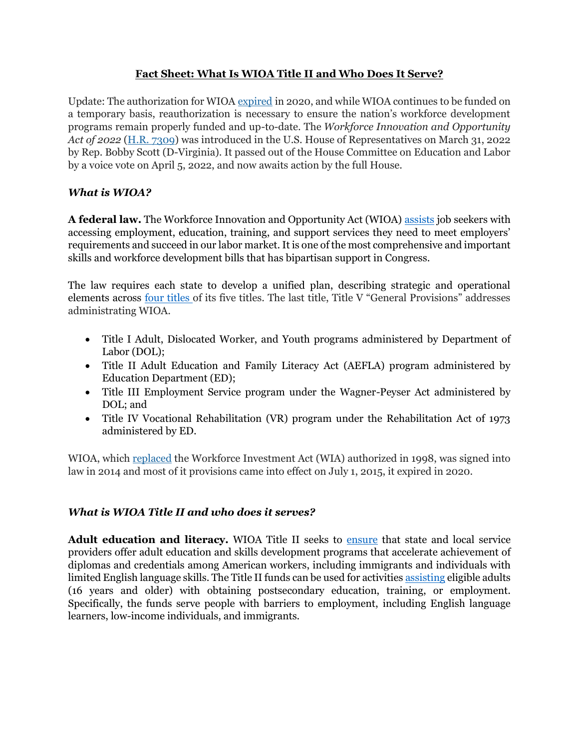## **Fact Sheet: What Is WIOA Title II and Who Does It Serve?**

Update: The authorization for WIOA [expired](https://edlabor.house.gov/media/press-releases/chairs-scott-and-wilson-introduce-legislation-to-update-nations-workforce-development-programs) in 2020, and while WIOA continues to be funded on a temporary basis, reauthorization is necessary to ensure the nation's workforce development programs remain properly funded and up-to-date. The *Workforce Innovation and Opportunity Act of 2022* [\(H.R. 7309\)](https://www.congress.gov/bill/117th-congress/house-bill/7309?q=%7B%22search%22%3A%5B%227309%22%2C%227309%22%5D%7D&s=2&r=3) was introduced in the U.S. House of Representatives on March 31, 2022 by Rep. Bobby Scott (D-Virginia). It passed out of the House Committee on Education and Labor by a voice vote on April 5, 2022, and now awaits action by the full House.

# *What is WIOA?*

**A federal law.** The Workforce Innovation and Opportunity Act (WIOA) [assists](https://wdr.doleta.gov/directives/attach/TEGL/TEGL_10-16_accessible_version.pdf) job seekers with accessing employment, education, training, and support services they need to meet employers' requirements and succeed in our labor market. It is one of the most comprehensive and important skills and workforce development bills that has bipartisan support in Congress.

The law requires each state to develop a unified plan, describing strategic and operational elements across [four titles](https://wdr.doleta.gov/directives/attach/TEGL/TEGL_10-16_accessible_version.pdf) of its five titles. The last title, Title V "General Provisions" addresses administrating WIOA.

- Title I Adult, Dislocated Worker, and Youth programs administered by Department of Labor (DOL);
- Title II Adult Education and Family Literacy Act (AEFLA) program administered by Education Department (ED);
- Title III Employment Service program under the Wagner-Peyser Act administered by DOL; and
- Title IV Vocational Rehabilitation (VR) program under the Rehabilitation Act of 1973 administered by ED.

WIOA, which [replaced](http://www.nawb.org/documents/Publications/WIOA_Overview.pdf) the Workforce Investment Act (WIA) authorized in 1998, was signed into law in 2014 and most of it provisions came into effect on July 1, 2015, it expired in 2020.

### *What is WIOA Title II and who does it serves?*

Adult education and literacy. WIOA Title II seeks to **ensure** that state and local service providers offer adult education and skills development programs that accelerate achievement of diplomas and credentials among American workers, including immigrants and individuals with limited English language skills. The Title II funds can be used for activitie[s assisting](http://www.clasp.org/resources-and-publications/publication-1/KeyProvisionsofWIOA-Final.pdf) eligible adults (16 years and older) with obtaining postsecondary education, training, or employment. Specifically, the funds serve people with barriers to employment, including English language learners, low-income individuals, and immigrants.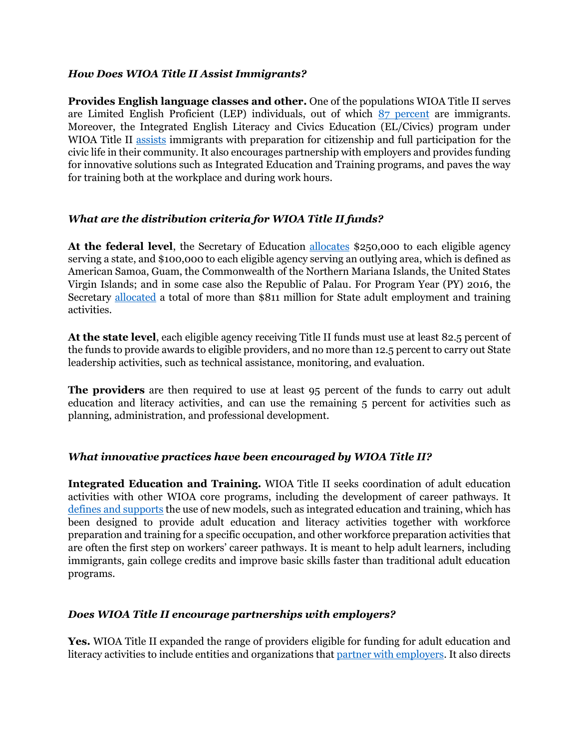### *How Does WIOA Title II Assist Immigrants?*

**Provides English language classes and other.** One of the populations WIOA Title II serves are Limited English Proficient (LEP) individuals, out of which [87 percent](https://immigrationforum.org/blog/fact-sheet-immigrants-in-pursuit-of-the-american-dream/) are immigrants. Moreover, the Integrated English Literacy and Civics Education (EL/Civics) program under WIOA Title II [assists](http://www.migrationpolicy.org/research/immigrants-and-wioa-services-comparison-sociodemographic-characteristics-native-and-foreign) immigrants with preparation for citizenship and full participation for the civic life in their community. It also encourages partnership with employers and provides funding for innovative solutions such as Integrated Education and Training programs, and paves the way for training both at the workplace and during work hours.

## *What are the distribution criteria for WIOA Title II funds?*

**At the federal level**, the Secretary of Education [allocates](https://www.gpo.gov/fdsys/pkg/PLAW-113publ128/html/PLAW-113publ128.htm) \$250,000 to each eligible agency serving a state, and \$100,000 to each eligible agency serving an outlying area, which is defined as American Samoa, Guam, the Commonwealth of the Northern Mariana Islands, the United States Virgin Islands; and in some case also the Republic of Palau. For Program Year (PY) 2016, the Secretary [allocated](https://www.federalregister.gov/documents/2016/04/18/2016-08747/program-year-py-2016-workforce-innovation-and-opportunity-act-wioa-allotments-py-2016-wagner-peyser) a total of more than \$811 million for State adult employment and training activities.

**At the state level**, each eligible agency receiving Title II funds must use at least 82.5 percent of the funds to provide awards to eligible providers, and no more than 12.5 percent to carry out State leadership activities, such as technical assistance, monitoring, and evaluation.

**The providers** are then required to use at least 95 percent of the funds to carry out adult education and literacy activities, and can use the remaining 5 percent for activities such as planning, administration, and professional development.

# *What innovative practices have been encouraged by WIOA Title II?*

**Integrated Education and Training.** WIOA Title II seeks coordination of adult education activities with other WIOA core programs, including the development of career pathways. It [defines and supports](http://www.clasp.org/resources-and-publications/publication-1/KeyProvisionsofWIOA-Final.pdf) the use of new models, such as integrated education and training, which has been designed to provide adult education and literacy activities together with workforce preparation and training for a specific occupation, and other workforce preparation activities that are often the first step on workers' career pathways. It is meant to help adult learners, including immigrants, gain college credits and improve basic skills faster than traditional adult education programs.

### *Does WIOA Title II encourage partnerships with employers?*

**Yes.** WIOA Title II expanded the range of providers eligible for funding for adult education and literacy activities to include entities and organizations that [partner with employers.](http://www.clasp.org/resources-and-publications/publication-1/KeyProvisionsofWIOA-Final.pdf) It also directs